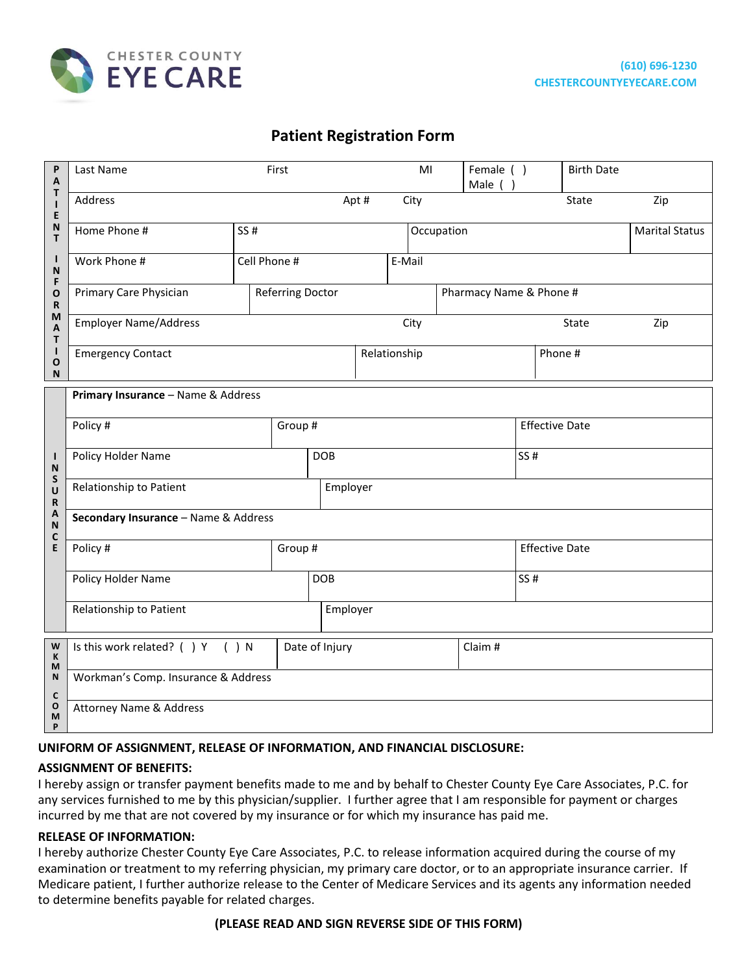

# **Patient Registration Form**

| P<br>A                                                    | Last Name<br>First                   |              |  |                  |              |        |                         |      | Female ()<br>Male () |                       | <b>Birth Date</b> |                       |     |
|-----------------------------------------------------------|--------------------------------------|--------------|--|------------------|--------------|--------|-------------------------|------|----------------------|-----------------------|-------------------|-----------------------|-----|
| Τ<br>$\mathbf{I}$<br>E                                    | Address<br>Apt#                      |              |  |                  |              | City   |                         |      |                      |                       | <b>State</b>      |                       | Zip |
| N<br>т                                                    | Home Phone #<br>SS #                 |              |  |                  | Occupation   |        |                         |      |                      |                       |                   | <b>Marital Status</b> |     |
| $\mathbf{I}$<br>N<br>F<br>O<br>$\mathbf R$<br>M<br>A<br>T | Work Phone #                         | Cell Phone # |  |                  |              | E-Mail |                         |      |                      |                       |                   |                       |     |
|                                                           | Primary Care Physician               |              |  | Referring Doctor |              |        | Pharmacy Name & Phone # |      |                      |                       |                   |                       |     |
|                                                           | <b>Employer Name/Address</b>         |              |  |                  | City         |        |                         |      |                      | Zip<br>State          |                   |                       |     |
| L<br>O<br>N                                               | <b>Emergency Contact</b>             |              |  |                  | Relationship |        |                         |      |                      | Phone #               |                   |                       |     |
| Т<br>N<br>${\sf S}$<br>U<br>R<br>A<br>N<br>C              | Primary Insurance - Name & Address   |              |  |                  |              |        |                         |      |                      |                       |                   |                       |     |
|                                                           | Policy #                             |              |  | Group #          |              |        |                         |      |                      | <b>Effective Date</b> |                   |                       |     |
|                                                           | Policy Holder Name                   |              |  | <b>DOB</b>       |              |        |                         | SS#  |                      |                       |                   |                       |     |
|                                                           | Relationship to Patient              |              |  |                  | Employer     |        |                         |      |                      |                       |                   |                       |     |
|                                                           | Secondary Insurance - Name & Address |              |  |                  |              |        |                         |      |                      |                       |                   |                       |     |
| E                                                         | Policy #                             |              |  | Group #          |              |        |                         |      |                      | <b>Effective Date</b> |                   |                       |     |
|                                                           | Policy Holder Name                   |              |  | <b>DOB</b>       |              |        |                         | SS # |                      |                       |                   |                       |     |
|                                                           | Relationship to Patient              |              |  |                  | Employer     |        |                         |      |                      |                       |                   |                       |     |
| W<br>К<br>M                                               | Is this work related? ( ) Y ( ) N    |              |  | Date of Injury   |              |        |                         |      | Claim #              |                       |                   |                       |     |
| N<br>$\mathbf c$                                          | Workman's Comp. Insurance & Address  |              |  |                  |              |        |                         |      |                      |                       |                   |                       |     |
| O<br>M<br>P                                               | <b>Attorney Name &amp; Address</b>   |              |  |                  |              |        |                         |      |                      |                       |                   |                       |     |

#### **UNIFORM OF ASSIGNMENT, RELEASE OF INFORMATION, AND FINANCIAL DISCLOSURE:**

#### **ASSIGNMENT OF BENEFITS:**

I hereby assign or transfer payment benefits made to me and by behalf to Chester County Eye Care Associates, P.C. for any services furnished to me by this physician/supplier. I further agree that I am responsible for payment or charges incurred by me that are not covered by my insurance or for which my insurance has paid me.

#### **RELEASE OF INFORMATION:**

I hereby authorize Chester County Eye Care Associates, P.C. to release information acquired during the course of my examination or treatment to my referring physician, my primary care doctor, or to an appropriate insurance carrier. If Medicare patient, I further authorize release to the Center of Medicare Services and its agents any information needed to determine benefits payable for related charges.

#### **(PLEASE READ AND SIGN REVERSE SIDE OF THIS FORM)**